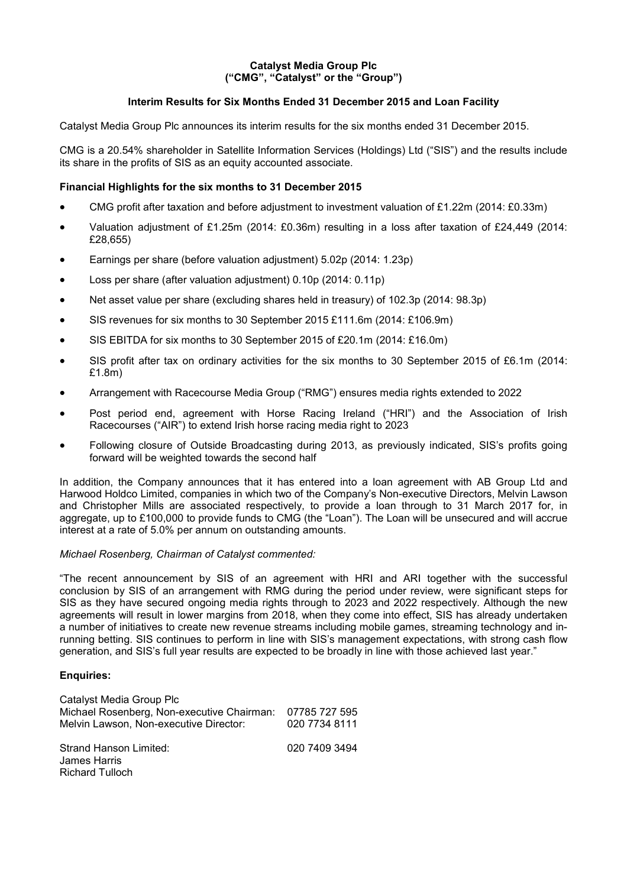### **Catalyst Media Group Plc ("CMG", "Catalyst" or the "Group")**

# **Interim Results for Six Months Ended 31 December 2015 and Loan Facility**

Catalyst Media Group Plc announces its interim results for the six months ended 31 December 2015.

CMG is a 20.54% shareholder in Satellite Information Services (Holdings) Ltd ("SIS") and the results include its share in the profits of SIS as an equity accounted associate.

# **Financial Highlights for the six months to 31 December 2015**

- CMG profit after taxation and before adjustment to investment valuation of £1.22m (2014: £0.33m)
- Valuation adjustment of £1.25m (2014: £0.36m) resulting in a loss after taxation of £24,449 (2014: £28,655)
- Earnings per share (before valuation adjustment) 5.02p (2014: 1.23p)
- Loss per share (after valuation adjustment) 0.10p (2014: 0.11p)
- Net asset value per share (excluding shares held in treasury) of 102.3p (2014: 98.3p)
- SIS revenues for six months to 30 September 2015 £111.6m (2014: £106.9m)
- SIS EBITDA for six months to 30 September 2015 of £20.1m (2014: £16.0m)
- SIS profit after tax on ordinary activities for the six months to 30 September 2015 of £6.1m (2014: £1.8m)
- Arrangement with Racecourse Media Group ("RMG") ensures media rights extended to 2022
- Post period end, agreement with Horse Racing Ireland ("HRI") and the Association of Irish Racecourses ("AIR") to extend Irish horse racing media right to 2023
- Following closure of Outside Broadcasting during 2013, as previously indicated, SIS's profits going forward will be weighted towards the second half

In addition, the Company announces that it has entered into a loan agreement with AB Group Ltd and Harwood Holdco Limited, companies in which two of the Company's Non-executive Directors, Melvin Lawson and Christopher Mills are associated respectively, to provide a loan through to 31 March 2017 for, in aggregate, up to £100,000 to provide funds to CMG (the "Loan"). The Loan will be unsecured and will accrue interest at a rate of 5.0% per annum on outstanding amounts.

#### *Michael Rosenberg, Chairman of Catalyst commented:*

"The recent announcement by SIS of an agreement with HRI and ARI together with the successful conclusion by SIS of an arrangement with RMG during the period under review, were significant steps for SIS as they have secured ongoing media rights through to 2023 and 2022 respectively. Although the new agreements will result in lower margins from 2018, when they come into effect, SIS has already undertaken a number of initiatives to create new revenue streams including mobile games, streaming technology and inrunning betting. SIS continues to perform in line with SIS's management expectations, with strong cash flow generation, and SIS's full year results are expected to be broadly in line with those achieved last year."

#### **Enquiries:**

| Catalyst Media Group Plc<br>Michael Rosenberg, Non-executive Chairman:<br>Melvin Lawson, Non-executive Director: | 07785 727 595<br>020 7734 8111 |
|------------------------------------------------------------------------------------------------------------------|--------------------------------|
| Strand Hanson Limited:<br>James Harris<br><b>Richard Tulloch</b>                                                 | 020 7409 3494                  |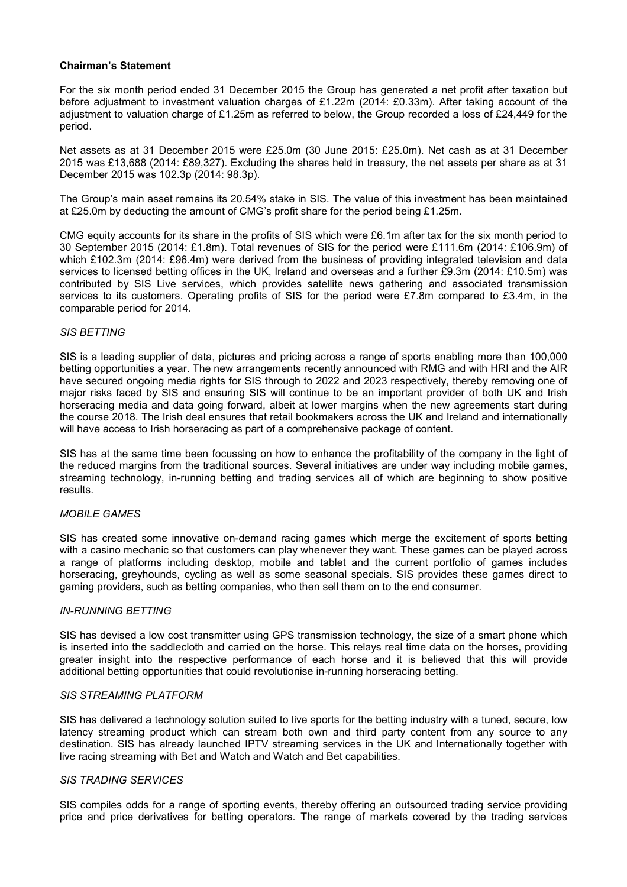## **Chairman's Statement**

For the six month period ended 31 December 2015 the Group has generated a net profit after taxation but before adjustment to investment valuation charges of £1.22m (2014: £0.33m). After taking account of the adjustment to valuation charge of £1.25m as referred to below, the Group recorded a loss of £24,449 for the period.

Net assets as at 31 December 2015 were £25.0m (30 June 2015: £25.0m). Net cash as at 31 December 2015 was £13,688 (2014: £89,327). Excluding the shares held in treasury, the net assets per share as at 31 December 2015 was 102.3p (2014: 98.3p).

The Group's main asset remains its 20.54% stake in SIS. The value of this investment has been maintained at £25.0m by deducting the amount of CMG's profit share for the period being £1.25m.

CMG equity accounts for its share in the profits of SIS which were £6.1m after tax for the six month period to 30 September 2015 (2014: £1.8m). Total revenues of SIS for the period were £111.6m (2014: £106.9m) of which £102.3m (2014: £96.4m) were derived from the business of providing integrated television and data services to licensed betting offices in the UK, Ireland and overseas and a further £9.3m (2014: £10.5m) was contributed by SIS Live services, which provides satellite news gathering and associated transmission services to its customers. Operating profits of SIS for the period were £7.8m compared to £3.4m, in the comparable period for 2014.

## *SIS BETTING*

SIS is a leading supplier of data, pictures and pricing across a range of sports enabling more than 100,000 betting opportunities a year. The new arrangements recently announced with RMG and with HRI and the AIR have secured ongoing media rights for SIS through to 2022 and 2023 respectively, thereby removing one of major risks faced by SIS and ensuring SIS will continue to be an important provider of both UK and Irish horseracing media and data going forward, albeit at lower margins when the new agreements start during the course 2018. The Irish deal ensures that retail bookmakers across the UK and Ireland and internationally will have access to Irish horseracing as part of a comprehensive package of content.

SIS has at the same time been focussing on how to enhance the profitability of the company in the light of the reduced margins from the traditional sources. Several initiatives are under way including mobile games, streaming technology, in-running betting and trading services all of which are beginning to show positive results.

# *MOBILE GAMES*

SIS has created some innovative on-demand racing games which merge the excitement of sports betting with a casino mechanic so that customers can play whenever they want. These games can be played across a range of platforms including desktop, mobile and tablet and the current portfolio of games includes horseracing, greyhounds, cycling as well as some seasonal specials. SIS provides these games direct to gaming providers, such as betting companies, who then sell them on to the end consumer.

#### *IN-RUNNING BETTING*

SIS has devised a low cost transmitter using GPS transmission technology, the size of a smart phone which is inserted into the saddlecloth and carried on the horse. This relays real time data on the horses, providing greater insight into the respective performance of each horse and it is believed that this will provide additional betting opportunities that could revolutionise in-running horseracing betting.

#### *SIS STREAMING PLATFORM*

SIS has delivered a technology solution suited to live sports for the betting industry with a tuned, secure, low latency streaming product which can stream both own and third party content from any source to any destination. SIS has already launched IPTV streaming services in the UK and Internationally together with live racing streaming with Bet and Watch and Watch and Bet capabilities.

#### *SIS TRADING SERVICES*

SIS compiles odds for a range of sporting events, thereby offering an outsourced trading service providing price and price derivatives for betting operators. The range of markets covered by the trading services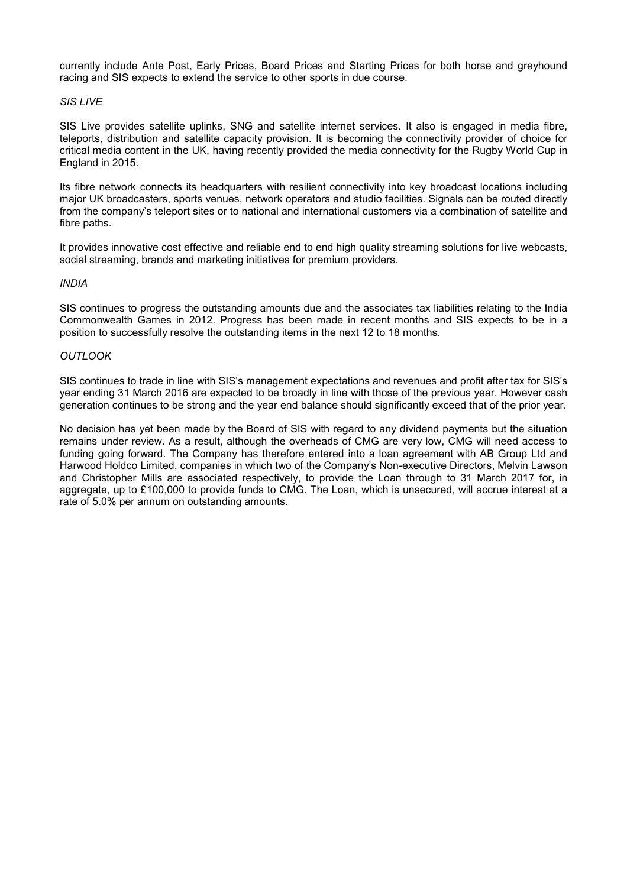currently include Ante Post, Early Prices, Board Prices and Starting Prices for both horse and greyhound racing and SIS expects to extend the service to other sports in due course.

### *SIS LIVE*

SIS Live provides satellite uplinks, SNG and satellite internet services. It also is engaged in media fibre, teleports, distribution and satellite capacity provision. It is becoming the connectivity provider of choice for critical media content in the UK, having recently provided the media connectivity for the Rugby World Cup in England in 2015.

Its fibre network connects its headquarters with resilient connectivity into key broadcast locations including major UK broadcasters, sports venues, network operators and studio facilities. Signals can be routed directly from the company's teleport sites or to national and international customers via a combination of satellite and fibre paths.

It provides innovative cost effective and reliable end to end high quality streaming solutions for live webcasts, social streaming, brands and marketing initiatives for premium providers.

#### *INDIA*

SIS continues to progress the outstanding amounts due and the associates tax liabilities relating to the India Commonwealth Games in 2012. Progress has been made in recent months and SIS expects to be in a position to successfully resolve the outstanding items in the next 12 to 18 months.

#### *OUTLOOK*

SIS continues to trade in line with SIS's management expectations and revenues and profit after tax for SIS's year ending 31 March 2016 are expected to be broadly in line with those of the previous year. However cash generation continues to be strong and the year end balance should significantly exceed that of the prior year.

No decision has yet been made by the Board of SIS with regard to any dividend payments but the situation remains under review. As a result, although the overheads of CMG are very low, CMG will need access to funding going forward. The Company has therefore entered into a loan agreement with AB Group Ltd and Harwood Holdco Limited, companies in which two of the Company's Non-executive Directors, Melvin Lawson and Christopher Mills are associated respectively, to provide the Loan through to 31 March 2017 for, in aggregate, up to £100,000 to provide funds to CMG. The Loan, which is unsecured, will accrue interest at a rate of 5.0% per annum on outstanding amounts.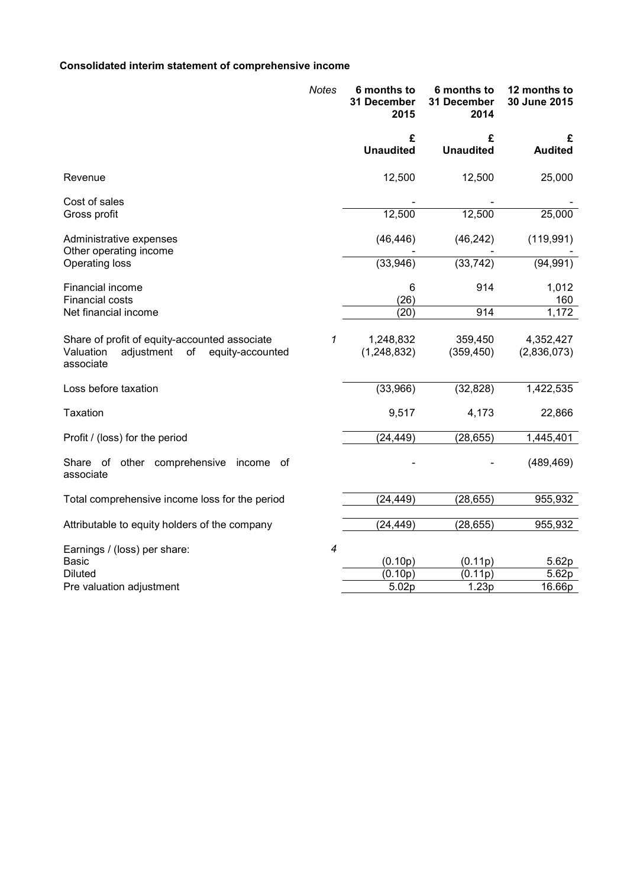# **Consolidated interim statement of comprehensive income**

|                                                                                                                 | <b>Notes</b>             | 6 months to<br>31 December<br>2015 | 6 months to<br>31 December<br>2014 | 12 months to<br>30 June 2015 |
|-----------------------------------------------------------------------------------------------------------------|--------------------------|------------------------------------|------------------------------------|------------------------------|
|                                                                                                                 |                          | £<br><b>Unaudited</b>              | £<br><b>Unaudited</b>              | £<br><b>Audited</b>          |
| Revenue                                                                                                         |                          | 12,500                             | 12,500                             | 25,000                       |
| Cost of sales<br>Gross profit                                                                                   |                          | 12,500                             | 12,500                             | 25,000                       |
| Administrative expenses<br>Other operating income                                                               |                          | (46, 446)                          | (46, 242)                          | (119, 991)                   |
| Operating loss                                                                                                  |                          | (33,946)                           | (33, 742)                          | (94, 991)                    |
| Financial income<br><b>Financial costs</b>                                                                      |                          | 6<br>(26)                          | 914                                | 1,012<br>160                 |
| Net financial income                                                                                            |                          | (20)                               | 914                                | 1,172                        |
| Share of profit of equity-accounted associate<br>Valuation<br>adjustment<br>equity-accounted<br>of<br>associate | 1                        | 1,248,832<br>(1, 248, 832)         | 359,450<br>(359, 450)              | 4,352,427<br>(2,836,073)     |
| Loss before taxation                                                                                            |                          | (33,966)                           | (32, 828)                          | 1,422,535                    |
| <b>Taxation</b>                                                                                                 |                          | 9,517                              | 4,173                              | 22,866                       |
| Profit / (loss) for the period                                                                                  |                          | (24, 449)                          | (28, 655)                          | 1,445,401                    |
| Share of other comprehensive<br>income<br>_of<br>associate                                                      |                          |                                    |                                    | (489, 469)                   |
| Total comprehensive income loss for the period                                                                  |                          | (24, 449)                          | (28, 655)                          | 955,932                      |
| Attributable to equity holders of the company                                                                   |                          | (24, 449)                          | (28, 655)                          | 955,932                      |
| Earnings / (loss) per share:                                                                                    | $\overline{\mathcal{A}}$ |                                    |                                    |                              |
| Basic                                                                                                           |                          | (0.10p)                            | (0.11p)                            | 5.62p                        |
| <b>Diluted</b><br>Pre valuation adjustment                                                                      |                          | (0.10p)<br>5.02p                   | (0.11p)<br>1.23p                   | 5.62p<br>16.66p              |
|                                                                                                                 |                          |                                    |                                    |                              |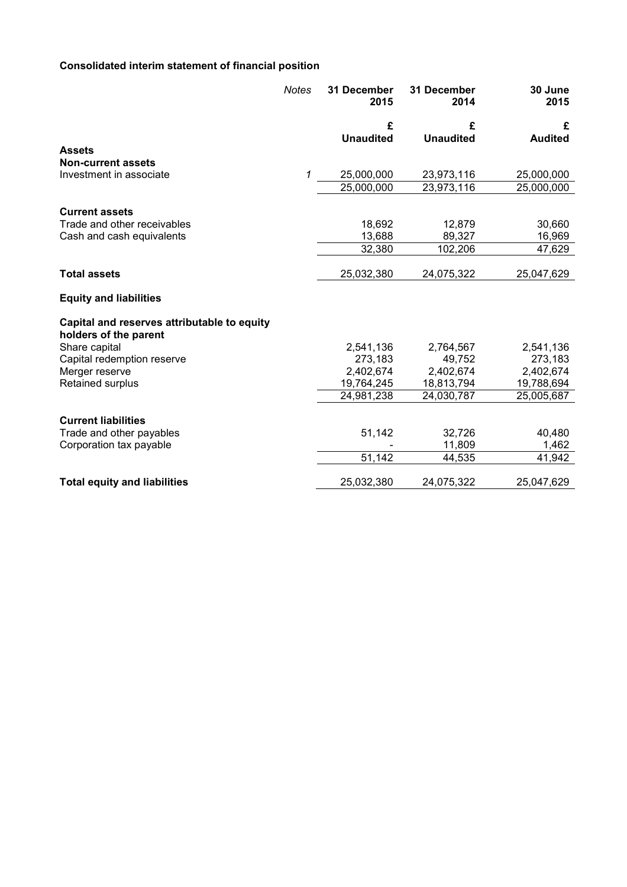# **Consolidated interim statement of financial position**

|                                                                      | <b>Notes</b> | <b>31 December</b><br>2015 | 31 December<br>2014 | 30 June<br>2015 |
|----------------------------------------------------------------------|--------------|----------------------------|---------------------|-----------------|
|                                                                      |              | £                          | £                   | £               |
|                                                                      |              | <b>Unaudited</b>           | <b>Unaudited</b>    | <b>Audited</b>  |
| <b>Assets</b>                                                        |              |                            |                     |                 |
| <b>Non-current assets</b>                                            |              |                            |                     |                 |
| Investment in associate                                              | 1            | 25,000,000                 | 23,973,116          | 25,000,000      |
|                                                                      |              | 25,000,000                 | 23,973,116          | 25,000,000      |
| <b>Current assets</b>                                                |              |                            |                     |                 |
| Trade and other receivables                                          |              | 18,692                     | 12,879              | 30,660          |
| Cash and cash equivalents                                            |              | 13,688                     | 89,327              | 16,969          |
|                                                                      |              | 32,380                     | 102,206             | 47,629          |
|                                                                      |              |                            |                     |                 |
| <b>Total assets</b>                                                  |              | 25,032,380                 | 24,075,322          | 25,047,629      |
| <b>Equity and liabilities</b>                                        |              |                            |                     |                 |
| Capital and reserves attributable to equity<br>holders of the parent |              |                            |                     |                 |
| Share capital                                                        |              | 2,541,136                  | 2,764,567           | 2,541,136       |
| Capital redemption reserve                                           |              | 273,183                    | 49,752              | 273,183         |
| Merger reserve                                                       |              | 2,402,674                  | 2,402,674           | 2,402,674       |
| Retained surplus                                                     |              | 19,764,245                 | 18,813,794          | 19,788,694      |
|                                                                      |              | 24,981,238                 | 24,030,787          | 25,005,687      |
| <b>Current liabilities</b>                                           |              |                            |                     |                 |
| Trade and other payables                                             |              | 51,142                     | 32,726              | 40,480          |
| Corporation tax payable                                              |              |                            | 11,809              | 1,462           |
|                                                                      |              | 51,142                     | 44,535              | 41,942          |
| <b>Total equity and liabilities</b>                                  |              | 25,032,380                 | 24,075,322          | 25,047,629      |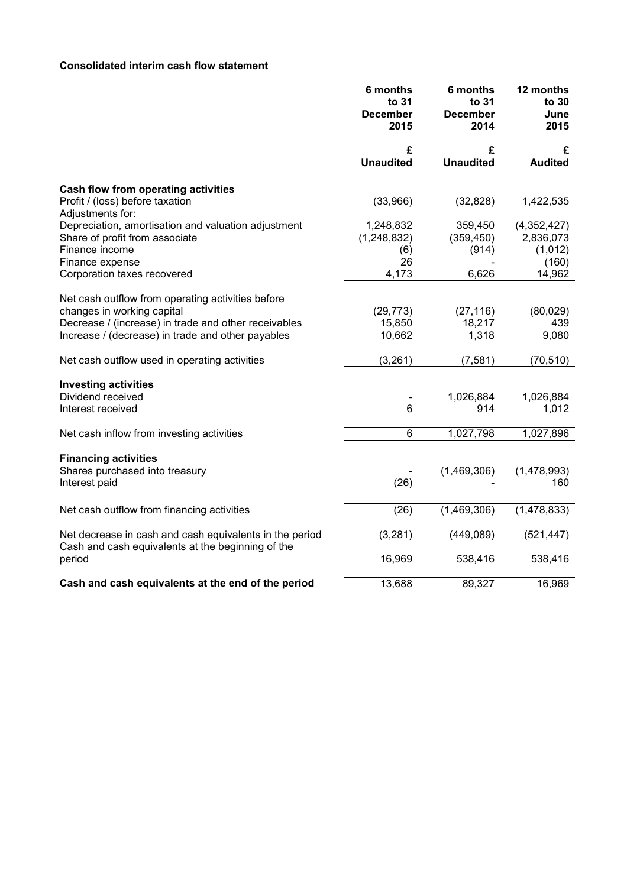# **Consolidated interim cash flow statement**

|                                                                                                                                                                                              | 6 months<br>to 31<br><b>December</b><br>2015   | 6 months<br>to 31<br><b>December</b><br>2014 | 12 months<br>to 30<br>June<br>2015                     |
|----------------------------------------------------------------------------------------------------------------------------------------------------------------------------------------------|------------------------------------------------|----------------------------------------------|--------------------------------------------------------|
|                                                                                                                                                                                              | £<br><b>Unaudited</b>                          | £<br><b>Unaudited</b>                        | £<br><b>Audited</b>                                    |
| Cash flow from operating activities                                                                                                                                                          |                                                |                                              |                                                        |
| Profit / (loss) before taxation<br>Adjustments for:                                                                                                                                          | (33,966)                                       | (32, 828)                                    | 1,422,535                                              |
| Depreciation, amortisation and valuation adjustment<br>Share of profit from associate<br>Finance income<br>Finance expense<br>Corporation taxes recovered                                    | 1,248,832<br>(1,248,832)<br>(6)<br>26<br>4,173 | 359,450<br>(359, 450)<br>(914)<br>6,626      | (4,352,427)<br>2,836,073<br>(1,012)<br>(160)<br>14,962 |
|                                                                                                                                                                                              |                                                |                                              |                                                        |
| Net cash outflow from operating activities before<br>changes in working capital<br>Decrease / (increase) in trade and other receivables<br>Increase / (decrease) in trade and other payables | (29, 773)<br>15,850<br>10,662                  | (27, 116)<br>18,217<br>1,318                 | (80, 029)<br>439<br>9,080                              |
| Net cash outflow used in operating activities                                                                                                                                                | (3,261)                                        | (7, 581)                                     | (70, 510)                                              |
| <b>Investing activities</b><br>Dividend received<br>Interest received                                                                                                                        | $6\phantom{1}6$                                | 1,026,884<br>914                             | 1,026,884<br>1,012                                     |
| Net cash inflow from investing activities                                                                                                                                                    | $6\phantom{1}$                                 | 1,027,798                                    | 1,027,896                                              |
| <b>Financing activities</b><br>Shares purchased into treasury<br>Interest paid                                                                                                               | (26)                                           | (1,469,306)                                  | (1,478,993)<br>160                                     |
| Net cash outflow from financing activities                                                                                                                                                   | (26)                                           | (1,469,306)                                  | (1, 478, 833)                                          |
| Net decrease in cash and cash equivalents in the period<br>Cash and cash equivalents at the beginning of the                                                                                 | (3,281)                                        | (449,089)                                    | (521, 447)                                             |
| period                                                                                                                                                                                       | 16,969                                         | 538,416                                      | 538,416                                                |
| Cash and cash equivalents at the end of the period                                                                                                                                           | 13,688                                         | 89,327                                       | 16,969                                                 |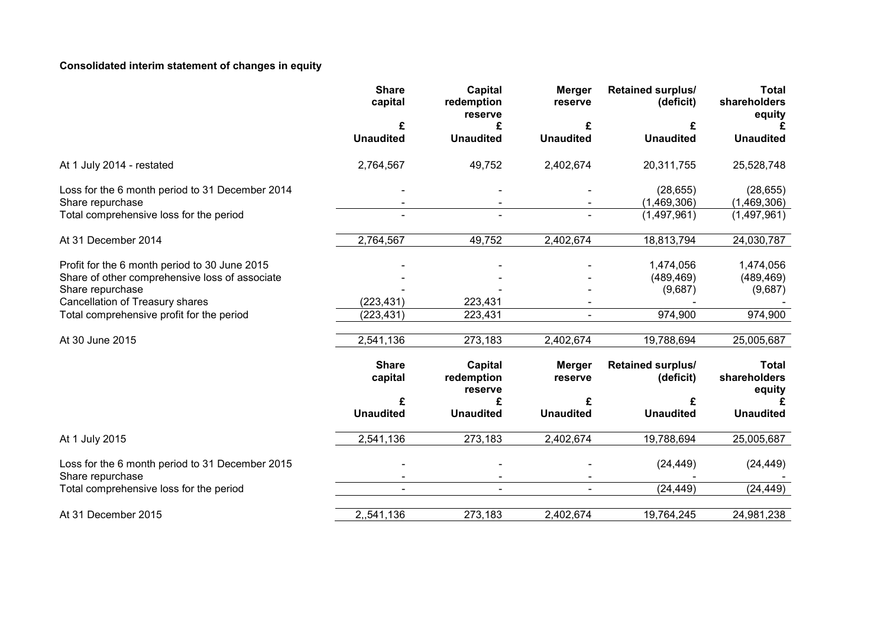# **Consolidated interim statement of changes in equity**

|                                                                     | <b>Share</b><br>capital | Capital<br>redemption<br>reserve | <b>Merger</b><br>reserve | <b>Retained surplus/</b><br>(deficit) | <b>Total</b><br>shareholders<br>equity |
|---------------------------------------------------------------------|-------------------------|----------------------------------|--------------------------|---------------------------------------|----------------------------------------|
|                                                                     | £                       | £                                | £                        | £                                     |                                        |
|                                                                     | <b>Unaudited</b>        | <b>Unaudited</b>                 | <b>Unaudited</b>         | <b>Unaudited</b>                      | <b>Unaudited</b>                       |
| At 1 July 2014 - restated                                           | 2,764,567               | 49,752                           | 2,402,674                | 20,311,755                            | 25,528,748                             |
| Loss for the 6 month period to 31 December 2014                     |                         |                                  |                          | (28, 655)                             | (28, 655)                              |
| Share repurchase                                                    |                         |                                  |                          | (1,469,306)                           | (1,469,306)                            |
| Total comprehensive loss for the period                             | $\blacksquare$          | $\overline{\phantom{a}}$         |                          | (1,497,961)                           | (1,497,961)                            |
| At 31 December 2014                                                 | 2,764,567               | 49,752                           | 2,402,674                | 18,813,794                            | 24,030,787                             |
| Profit for the 6 month period to 30 June 2015                       |                         |                                  |                          | 1,474,056                             | 1,474,056                              |
| Share of other comprehensive loss of associate                      |                         |                                  |                          | (489, 469)                            | (489, 469)                             |
| Share repurchase                                                    |                         |                                  |                          | (9,687)                               | (9,687)                                |
| Cancellation of Treasury shares                                     | (223, 431)              | 223,431                          |                          |                                       |                                        |
| Total comprehensive profit for the period                           | (223, 431)              | 223,431                          | $\blacksquare$           | 974,900                               | 974,900                                |
|                                                                     |                         |                                  |                          |                                       |                                        |
| At 30 June 2015                                                     | 2,541,136               | 273,183                          | 2,402,674                | 19,788,694                            | 25,005,687                             |
|                                                                     | <b>Share</b><br>capital | Capital<br>redemption<br>reserve | <b>Merger</b><br>reserve | Retained surplus/<br>(deficit)        | <b>Total</b><br>shareholders<br>equity |
|                                                                     | £                       | £                                |                          | £                                     |                                        |
|                                                                     | <b>Unaudited</b>        | <b>Unaudited</b>                 | <b>Unaudited</b>         | <b>Unaudited</b>                      | <b>Unaudited</b>                       |
| At 1 July 2015                                                      | 2,541,136               | 273,183                          | 2,402,674                | 19,788,694                            | 25,005,687                             |
| Loss for the 6 month period to 31 December 2015<br>Share repurchase |                         |                                  |                          | (24, 449)                             | (24, 449)                              |
| Total comprehensive loss for the period                             |                         |                                  |                          | (24, 449)                             | (24, 449)                              |
| At 31 December 2015                                                 | 2,,541,136              | 273,183                          | 2,402,674                | 19,764,245                            | 24,981,238                             |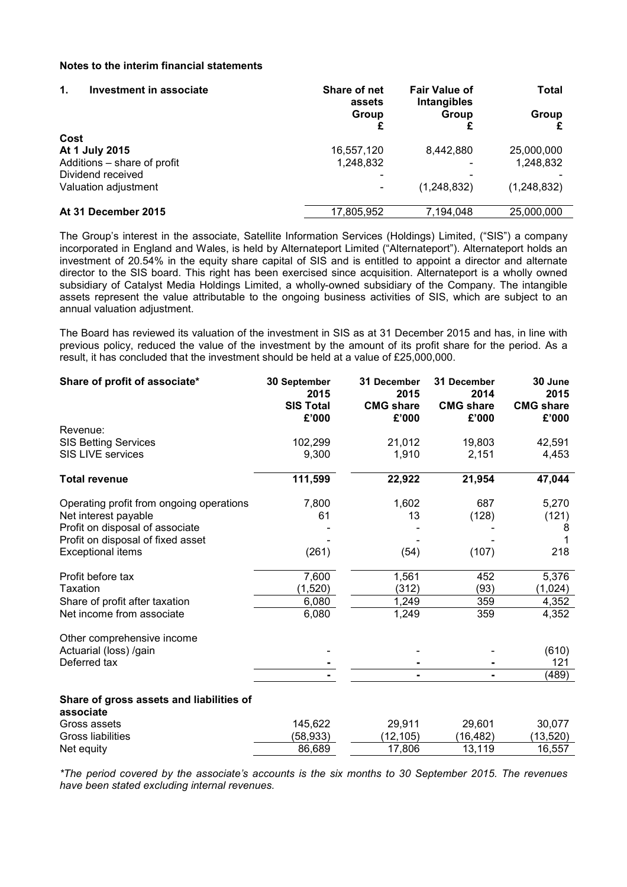## **Notes to the interim financial statements**

| Investment in associate<br>1. | Share of net<br>assets | <b>Fair Value of</b><br>Intangibles | Total       |
|-------------------------------|------------------------|-------------------------------------|-------------|
|                               | Group                  | Group                               | Group       |
| Cost                          |                        |                                     |             |
| At 1 July 2015                | 16,557,120             | 8,442,880                           | 25,000,000  |
| Additions - share of profit   | 1,248,832              |                                     | 1.248.832   |
| Dividend received             |                        |                                     |             |
| Valuation adjustment          |                        | (1,248,832)                         | (1,248,832) |
| At 31 December 2015           | 17,805,952             | 7.194.048                           | 25,000,000  |

The Group's interest in the associate, Satellite Information Services (Holdings) Limited, ("SIS") a company incorporated in England and Wales, is held by Alternateport Limited ("Alternateport"). Alternateport holds an investment of 20.54% in the equity share capital of SIS and is entitled to appoint a director and alternate director to the SIS board. This right has been exercised since acquisition. Alternateport is a wholly owned subsidiary of Catalyst Media Holdings Limited, a wholly-owned subsidiary of the Company. The intangible assets represent the value attributable to the ongoing business activities of SIS, which are subject to an annual valuation adjustment.

The Board has reviewed its valuation of the investment in SIS as at 31 December 2015 and has, in line with previous policy, reduced the value of the investment by the amount of its profit share for the period. As a result, it has concluded that the investment should be held at a value of £25,000,000.

| Revenue:<br>102,299<br>21,012<br>19,803<br><b>SIS Betting Services</b><br><b>SIS LIVE services</b><br>9,300<br>1,910<br>2,151<br>111,599<br>22,922<br>21,954<br><b>Total revenue</b><br>7,800<br>1,602<br>687<br>Operating profit from ongoing operations<br>Net interest payable<br>13<br>(128)<br>61<br>Profit on disposal of associate<br>Profit on disposal of fixed asset<br><b>Exceptional items</b><br>(261)<br>(54)<br>(107)<br>Profit before tax<br>7,600<br>1,561<br>452<br>(1,520)<br>(312)<br>(93)<br>Taxation<br>359<br>1,249<br>Share of profit after taxation<br>6,080<br>1,249<br>Net income from associate<br>6,080<br>359 | Share of profit of associate* | 30 September<br>2015<br><b>SIS Total</b><br>£'000 | 31 December<br>2015<br><b>CMG share</b><br>£'000 | 31 December<br>2014<br><b>CMG share</b><br>£'000 | 30 June<br>2015<br><b>CMG share</b><br>£'000 |
|---------------------------------------------------------------------------------------------------------------------------------------------------------------------------------------------------------------------------------------------------------------------------------------------------------------------------------------------------------------------------------------------------------------------------------------------------------------------------------------------------------------------------------------------------------------------------------------------------------------------------------------------|-------------------------------|---------------------------------------------------|--------------------------------------------------|--------------------------------------------------|----------------------------------------------|
|                                                                                                                                                                                                                                                                                                                                                                                                                                                                                                                                                                                                                                             |                               |                                                   |                                                  |                                                  |                                              |
|                                                                                                                                                                                                                                                                                                                                                                                                                                                                                                                                                                                                                                             |                               |                                                   |                                                  |                                                  | 42,591                                       |
|                                                                                                                                                                                                                                                                                                                                                                                                                                                                                                                                                                                                                                             |                               |                                                   |                                                  |                                                  | 4,453                                        |
|                                                                                                                                                                                                                                                                                                                                                                                                                                                                                                                                                                                                                                             |                               |                                                   |                                                  |                                                  | 47,044                                       |
|                                                                                                                                                                                                                                                                                                                                                                                                                                                                                                                                                                                                                                             |                               |                                                   |                                                  |                                                  | 5,270                                        |
|                                                                                                                                                                                                                                                                                                                                                                                                                                                                                                                                                                                                                                             |                               |                                                   |                                                  |                                                  | (121)                                        |
|                                                                                                                                                                                                                                                                                                                                                                                                                                                                                                                                                                                                                                             |                               |                                                   |                                                  |                                                  | 8                                            |
|                                                                                                                                                                                                                                                                                                                                                                                                                                                                                                                                                                                                                                             |                               |                                                   |                                                  |                                                  |                                              |
|                                                                                                                                                                                                                                                                                                                                                                                                                                                                                                                                                                                                                                             |                               |                                                   |                                                  |                                                  | 218                                          |
|                                                                                                                                                                                                                                                                                                                                                                                                                                                                                                                                                                                                                                             |                               |                                                   |                                                  |                                                  | 5,376                                        |
|                                                                                                                                                                                                                                                                                                                                                                                                                                                                                                                                                                                                                                             |                               |                                                   |                                                  |                                                  | (1,024)                                      |
|                                                                                                                                                                                                                                                                                                                                                                                                                                                                                                                                                                                                                                             |                               |                                                   |                                                  |                                                  | 4,352                                        |
|                                                                                                                                                                                                                                                                                                                                                                                                                                                                                                                                                                                                                                             |                               |                                                   |                                                  |                                                  | 4,352                                        |
|                                                                                                                                                                                                                                                                                                                                                                                                                                                                                                                                                                                                                                             | Other comprehensive income    |                                                   |                                                  |                                                  |                                              |
| Actuarial (loss) /gain                                                                                                                                                                                                                                                                                                                                                                                                                                                                                                                                                                                                                      |                               |                                                   |                                                  |                                                  | (610)                                        |
| Deferred tax                                                                                                                                                                                                                                                                                                                                                                                                                                                                                                                                                                                                                                |                               |                                                   |                                                  |                                                  | 121                                          |
|                                                                                                                                                                                                                                                                                                                                                                                                                                                                                                                                                                                                                                             |                               |                                                   |                                                  |                                                  | (489)                                        |
| Share of gross assets and liabilities of<br>associate                                                                                                                                                                                                                                                                                                                                                                                                                                                                                                                                                                                       |                               |                                                   |                                                  |                                                  |                                              |
| Gross assets<br>145,622<br>29,911<br>29,601                                                                                                                                                                                                                                                                                                                                                                                                                                                                                                                                                                                                 |                               |                                                   |                                                  |                                                  | 30,077                                       |
| Gross liabilities<br>(58, 933)<br>(12, 105)<br>(16, 482)                                                                                                                                                                                                                                                                                                                                                                                                                                                                                                                                                                                    |                               |                                                   |                                                  |                                                  | (13, 520)                                    |
| 86,689<br>17,806<br>13,119<br>Net equity                                                                                                                                                                                                                                                                                                                                                                                                                                                                                                                                                                                                    |                               |                                                   |                                                  |                                                  | 16,557                                       |

*\*The period covered by the associate's accounts is the six months to 30 September 2015. The revenues have been stated excluding internal revenues.*